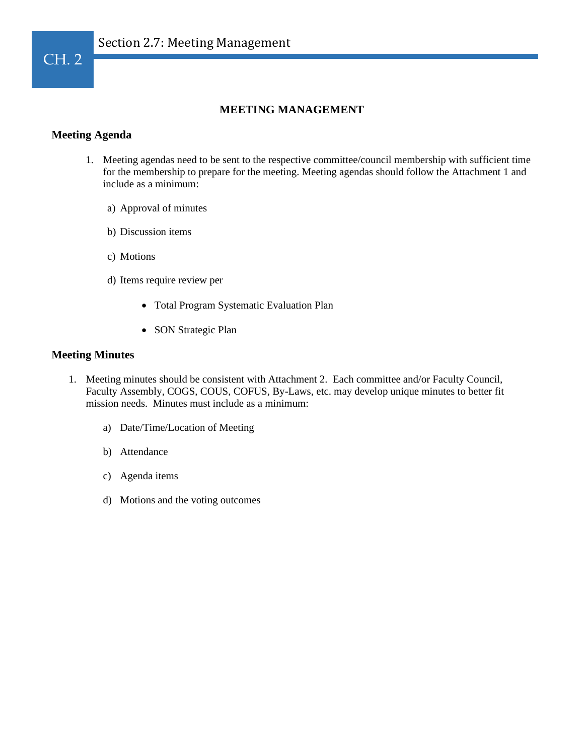

## **MEETING MANAGEMENT**

#### **Meeting Agenda**

- 1. Meeting agendas need to be sent to the respective committee/council membership with sufficient time for the membership to prepare for the meeting. Meeting agendas should follow the Attachment 1 and include as a minimum:
	- a) Approval of minutes
	- b) Discussion items
	- c) Motions
	- d) Items require review per
		- Total Program Systematic Evaluation Plan
		- SON Strategic Plan

#### **Meeting Minutes**

- 1. Meeting minutes should be consistent with Attachment 2. Each committee and/or Faculty Council, Faculty Assembly, COGS, COUS, COFUS, By-Laws, etc. may develop unique minutes to better fit mission needs. Minutes must include as a minimum:
	- a) Date/Time/Location of Meeting
	- b) Attendance
	- c) Agenda items
	- d) Motions and the voting outcomes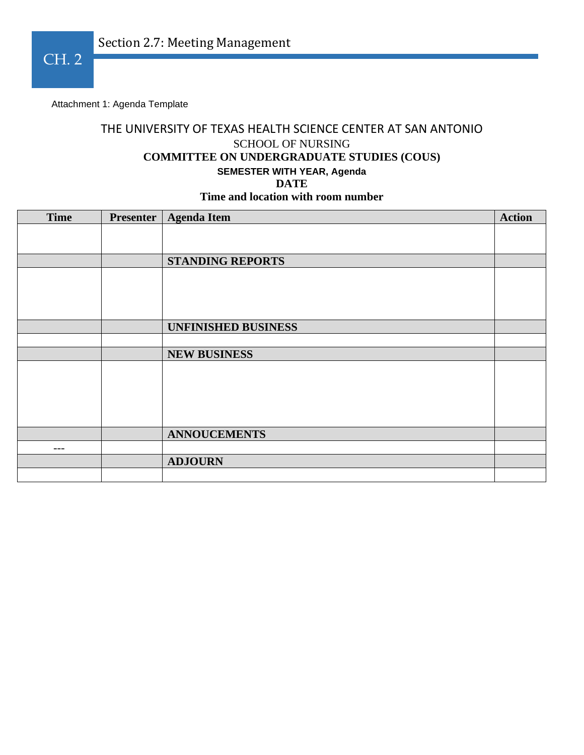Attachment 1: Agenda Template

# THE UNIVERSITY OF TEXAS HEALTH SCIENCE CENTER AT SAN ANTONIO SCHOOL OF NURSING **COMMITTEE ON UNDERGRADUATE STUDIES (COUS) SEMESTER WITH YEAR, Agenda DATE Time and location with room number**

| <b>Time</b> | <b>Presenter</b> | <b>Agenda Item</b>         | <b>Action</b> |
|-------------|------------------|----------------------------|---------------|
|             |                  |                            |               |
|             |                  |                            |               |
|             |                  | <b>STANDING REPORTS</b>    |               |
|             |                  |                            |               |
|             |                  |                            |               |
|             |                  |                            |               |
|             |                  | <b>UNFINISHED BUSINESS</b> |               |
|             |                  |                            |               |
|             |                  |                            |               |
|             |                  | <b>NEW BUSINESS</b>        |               |
|             |                  |                            |               |
|             |                  |                            |               |
|             |                  |                            |               |
|             |                  |                            |               |
|             |                  |                            |               |
|             |                  | <b>ANNOUCEMENTS</b>        |               |
| $---$       |                  |                            |               |
|             |                  | <b>ADJOURN</b>             |               |
|             |                  |                            |               |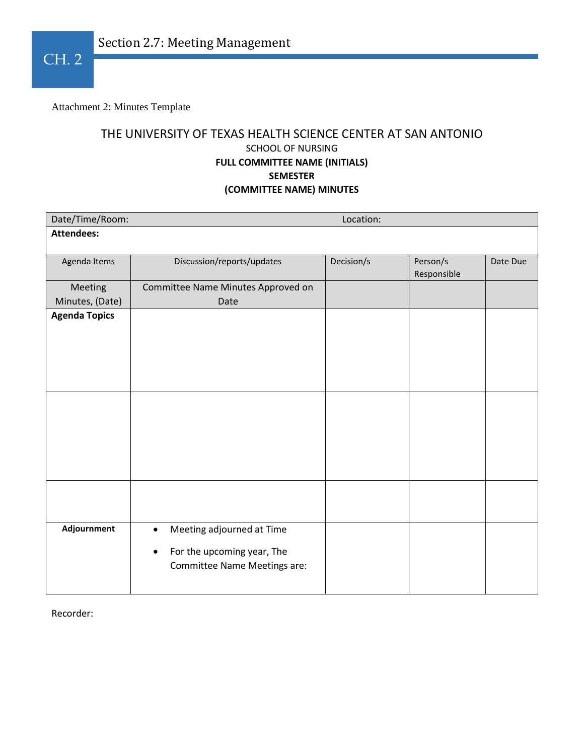Attachment 2: Minutes Template

# THE UNIVERSITY OF TEXAS HEALTH SCIENCE CENTER AT SAN ANTONIO SCHOOL OF NURSING **FULL COMMITTEE NAME (INITIALS) SEMESTER (COMMITTEE NAME) MINUTES**

| Date/Time/Room:      |                                         | Location:  |             |          |  |
|----------------------|-----------------------------------------|------------|-------------|----------|--|
| <b>Attendees:</b>    |                                         |            |             |          |  |
| Agenda Items         | Discussion/reports/updates              | Decision/s | Person/s    | Date Due |  |
|                      |                                         |            | Responsible |          |  |
| Meeting              | Committee Name Minutes Approved on      |            |             |          |  |
| Minutes, (Date)      | Date                                    |            |             |          |  |
| <b>Agenda Topics</b> |                                         |            |             |          |  |
|                      |                                         |            |             |          |  |
|                      |                                         |            |             |          |  |
|                      |                                         |            |             |          |  |
|                      |                                         |            |             |          |  |
|                      |                                         |            |             |          |  |
|                      |                                         |            |             |          |  |
|                      |                                         |            |             |          |  |
|                      |                                         |            |             |          |  |
|                      |                                         |            |             |          |  |
|                      |                                         |            |             |          |  |
|                      |                                         |            |             |          |  |
|                      |                                         |            |             |          |  |
|                      |                                         |            |             |          |  |
| Adjournment          | Meeting adjourned at Time<br>$\bullet$  |            |             |          |  |
|                      | For the upcoming year, The<br>$\bullet$ |            |             |          |  |
|                      | Committee Name Meetings are:            |            |             |          |  |
|                      |                                         |            |             |          |  |
|                      |                                         |            |             |          |  |

Recorder: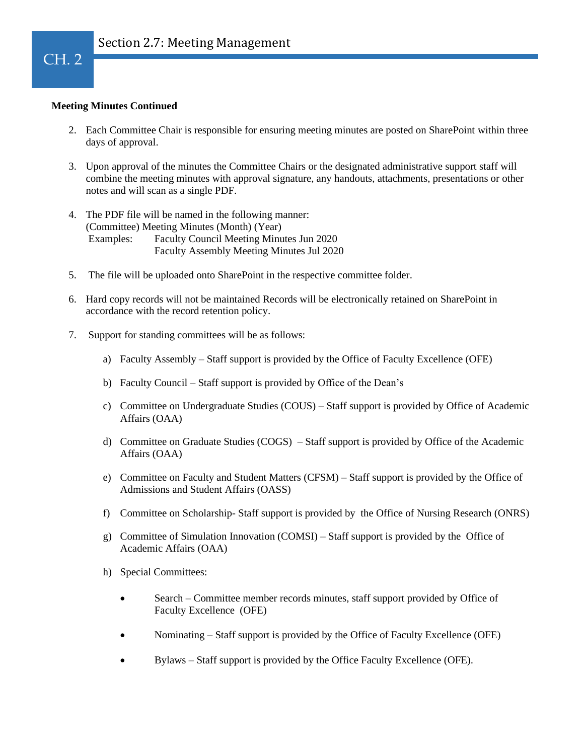#### **Meeting Minutes Continued**

- 2. Each Committee Chair is responsible for ensuring meeting minutes are posted on SharePoint within three days of approval.
- 3. Upon approval of the minutes the Committee Chairs or the designated administrative support staff will combine the meeting minutes with approval signature, any handouts, attachments, presentations or other notes and will scan as a single PDF.
- 4. The PDF file will be named in the following manner: (Committee) Meeting Minutes (Month) (Year) Examples: Faculty Council Meeting Minutes Jun 2020 Faculty Assembly Meeting Minutes Jul 2020
- 5. The file will be uploaded onto SharePoint in the respective committee folder.
- 6. Hard copy records will not be maintained Records will be electronically retained on SharePoint in accordance with the record retention policy.
- 7. Support for standing committees will be as follows:
	- a) Faculty Assembly Staff support is provided by the Office of Faculty Excellence (OFE)
	- b) Faculty Council Staff support is provided by Office of the Dean's
	- c) Committee on Undergraduate Studies (COUS) Staff support is provided by Office of Academic Affairs (OAA)
	- d) Committee on Graduate Studies (COGS) Staff support is provided by Office of the Academic Affairs (OAA)
	- e) Committee on Faculty and Student Matters (CFSM) Staff support is provided by the Office of Admissions and Student Affairs (OASS)
	- f) Committee on Scholarship- Staff support is provided by the Office of Nursing Research (ONRS)
	- g) Committee of Simulation Innovation (COMSI) Staff support is provided by the Office of Academic Affairs (OAA)
	- h) Special Committees:
		- Search Committee member records minutes, staff support provided by Office of Faculty Excellence (OFE)
		- Nominating Staff support is provided by the Office of Faculty Excellence (OFE)
		- Bylaws Staff support is provided by the Office Faculty Excellence (OFE).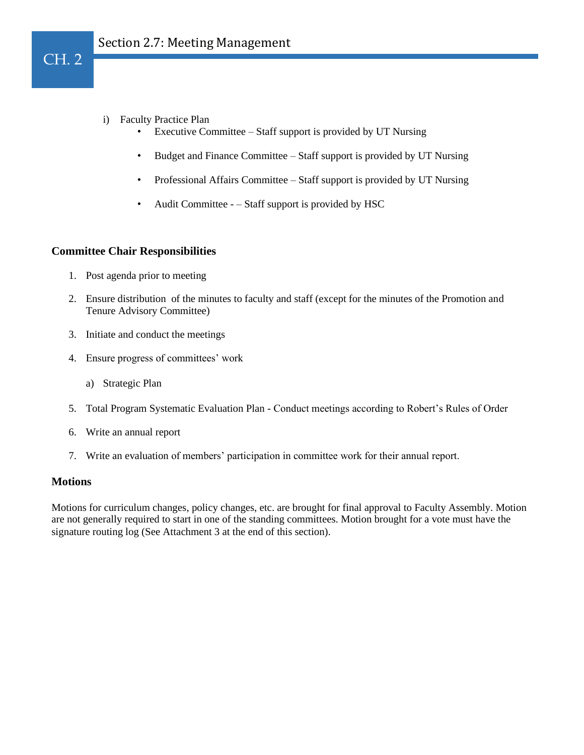- i) Faculty Practice Plan
	- Executive Committee Staff support is provided by UT Nursing
	- Budget and Finance Committee Staff support is provided by UT Nursing
	- Professional Affairs Committee Staff support is provided by UT Nursing
	- Audit Committee – Staff support is provided by HSC

#### **Committee Chair Responsibilities**

- 1. Post agenda prior to meeting
- 2. Ensure distribution of the minutes to faculty and staff (except for the minutes of the Promotion and Tenure Advisory Committee)
- 3. Initiate and conduct the meetings
- 4. Ensure progress of committees' work
	- a) Strategic Plan
- 5. Total Program Systematic Evaluation Plan Conduct meetings according to Robert's Rules of Order
- 6. Write an annual report
- 7. Write an evaluation of members' participation in committee work for their annual report.

#### **Motions**

Motions for curriculum changes, policy changes, etc. are brought for final approval to Faculty Assembly. Motion are not generally required to start in one of the standing committees. Motion brought for a vote must have the signature routing log (See Attachment 3 at the end of this section).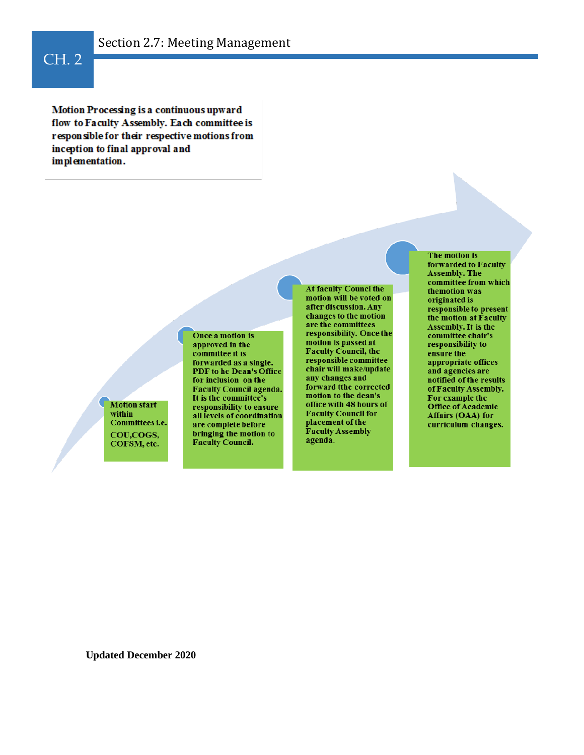#### 1 CH. 2

Motion Processing is a continuous upward flow to Faculty Assembly. Each committee is responsible for their respective motions from inception to final approval and implementation.

> **Motion start** within Committees i.e. COU,COGS, COFSM, etc.

Once a motion is approved in the committee it is forwarded as a single. PDF to he Dean's Office for inclusion on the **Faculty Council agenda.** It is the committee's responsibility to ensure all levels of coordination are complete before bringing the motion to Faculty Council.

At faculty Counci the motion will be voted on after discussion. Any changes to the motion are the committees responsibility. Once the motion is passed at **Faculty Council, the** responsible committee chair will make/update any changes and forward tthe corrected motion to the dean's office with 48 hours of **Faculty Council for** placement of the **Faculty Assembly** agenda.

The motion is forwarded to Faculty **Assembly. The** committee from which themotion was originated is responsible to present the motion at Faculty Assembly. It is the committée chair's responsibility to ensure the appropriate offices and agencies are notified of the results of Faculty Assembly. For example the Office of Academic Affairs (OAA) for curriculum changes.

**Updated December 2020**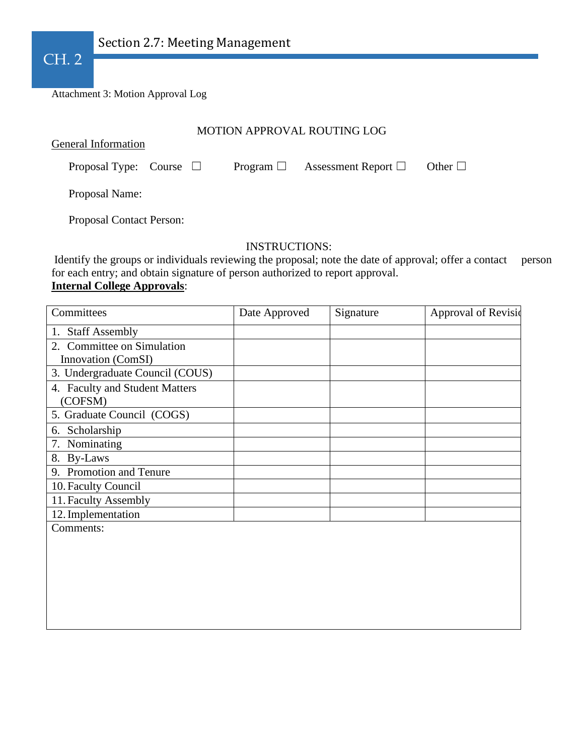

Attachment 3: Motion Approval Log

### MOTION APPROVAL ROUTING LOG

General Information

Proposal Type: Course □ Program □ Assessment Report □ Other □

Proposal Name:

Proposal Contact Person:

### INSTRUCTIONS:

Identify the groups or individuals reviewing the proposal; note the date of approval; offer a contact person for each entry; and obtain signature of person authorized to report approval. **Internal College Approvals**:

| Committees                      | Date Approved | Signature | Approval of Revisio |
|---------------------------------|---------------|-----------|---------------------|
| 1. Staff Assembly               |               |           |                     |
| 2. Committee on Simulation      |               |           |                     |
| Innovation (ComSI)              |               |           |                     |
| 3. Undergraduate Council (COUS) |               |           |                     |
| 4. Faculty and Student Matters  |               |           |                     |
| (COFSM)                         |               |           |                     |
| 5. Graduate Council (COGS)      |               |           |                     |
| 6. Scholarship                  |               |           |                     |
| 7. Nominating                   |               |           |                     |
| 8. By-Laws                      |               |           |                     |
| 9. Promotion and Tenure         |               |           |                     |
| 10. Faculty Council             |               |           |                     |
| 11. Faculty Assembly            |               |           |                     |
| 12. Implementation              |               |           |                     |
| Comments:                       |               |           |                     |
|                                 |               |           |                     |
|                                 |               |           |                     |
|                                 |               |           |                     |
|                                 |               |           |                     |
|                                 |               |           |                     |
|                                 |               |           |                     |